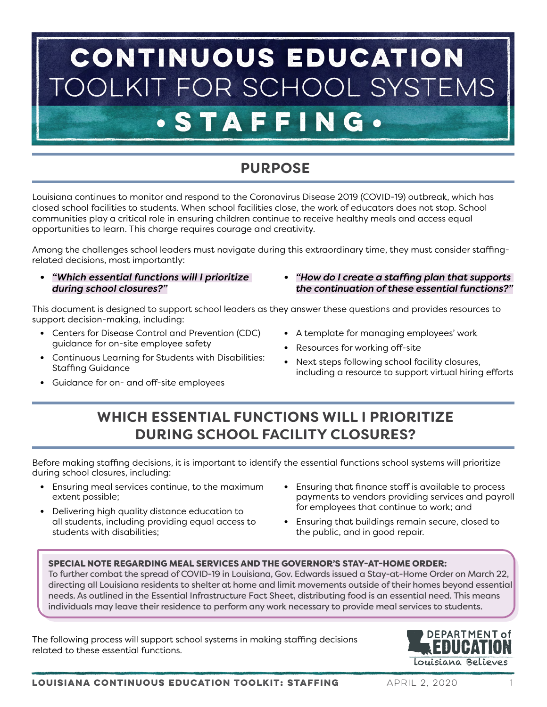# CONTINUOUS EDUCATION OLKIT FOR SCHOOL SYSTEMS **.STAF** E NG.

## **PURPOSE**

Louisiana continues to monitor and respond to the Coronavirus Disease 2019 (COVID-19) outbreak, which has closed school facilities to students. When school facilities close, the work of educators does not stop. School communities play a critical role in ensuring children continue to receive healthy meals and access equal opportunities to learn. This charge requires courage and creativity.

Among the challenges school leaders must navigate during this extraordinary time, they must consider staffingrelated decisions, most importantly:

- **•** *"Which essential functions will I prioritize during school closures?"*
- **•** *"How do I create a staffing plan that supports the continuation of these essential functions?"*

This document is designed to support school leaders as they answer these questions and provides resources to support decision-making, including:

- **•** Centers for Disease Control and Prevention (CDC) guidance for on-site employee safety
- **•** Continuous Learning for Students with Disabilities: Staffing Guidance
	-
- **•** Guidance for on- and off-site employees
- **•** A template for managing employees' work
- **•** Resources for working off-site
- **•** Next steps following school facility closures, including a resource to support virtual hiring efforts

## **WHICH ESSENTIAL FUNCTIONS WILL I PRIORITIZE DURING SCHOOL FACILITY CLOSURES?**

Before making staffing decisions, it is important to identify the essential functions school systems will prioritize during school closures, including:

- **•** Ensuring meal services continue, to the maximum extent possible;
- **•** Delivering high quality distance education to all students, including providing equal access to students with disabilities;
- **•** Ensuring that finance staff is available to process payments to vendors providing services and payroll for employees that continue to work; and
- **•** Ensuring that buildings remain secure, closed to the public, and in good repair.

### SPECIAL NOTE REGARDING MEAL SERVICES AND THE GOVERNOR'S STAY-AT-HOME ORDER:

To further combat the spread of COVID-19 in Louisiana, Gov. Edwards issued a Stay-at-Home Order on March 22, directing all Louisiana residents to shelter at home and limit movements outside of their homes beyond essential needs. As outlined in the Essential Infrastructure Fact Sheet, distributing food is an essential need. This means individuals may leave their residence to perform any work necessary to provide meal services to students.

The following process will support school systems in making staffing decisions related to these essential functions.

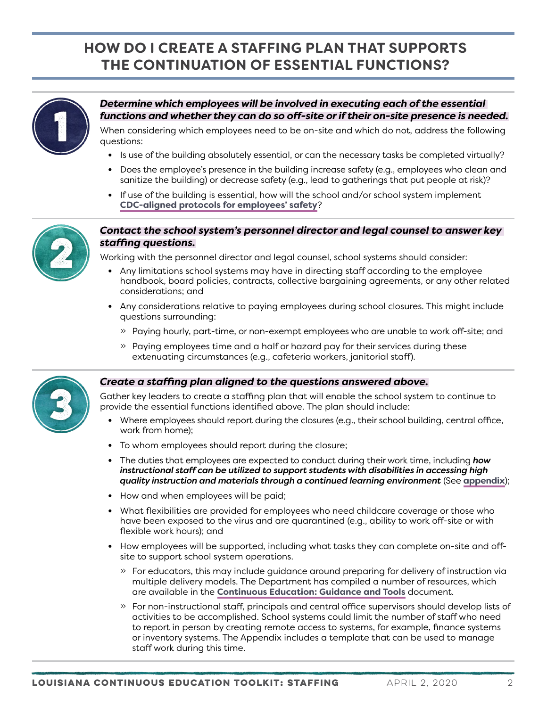## **HOW DO I CREATE A STAFFING PLAN THAT SUPPORTS THE CONTINUATION OF ESSENTIAL FUNCTIONS?**



## *Determine which employees will be involved in executing each of the essential functions and whether they can do so off-site or if their on-site presence is needed.*

When considering which employees need to be on-site and which do not, address the following questions:

- **•** Is use of the building absolutely essential, or can the necessary tasks be completed virtually?
- **•** Does the employee's presence in the building increase safety (e.g., employees who clean and sanitize the building) or decrease safety (e.g., lead to gatherings that put people at risk)?
- **•** If use of the building is essential, how will the school and/or school system implement **[CDC-aligned protocols for employees' safety](https://www.cdc.gov/coronavirus/2019-ncov/community/guidance-business-response.html)**?



### *Contact the school system's personnel director and legal counsel to answer key staffing questions.*

Working with the personnel director and legal counsel, school systems should consider:

- **•** Any limitations school systems may have in directing staff according to the employee handbook, board policies, contracts, collective bargaining agreements, or any other related considerations; and
- **•** Any considerations relative to paying employees during school closures. This might include questions surrounding:
	- » Paying hourly, part-time, or non-exempt employees who are unable to work off-site; and
	- » Paying employees time and a half or hazard pay for their services during these extenuating circumstances (e.g., cafeteria workers, janitorial staff).



#### *Create a staffing plan aligned to the questions answered above.*

Gather key leaders to create a staffing plan that will enable the school system to continue to provide the essential functions identified above. The plan should include:

- **•** Where employees should report during the closures (e.g., their school building, central office, work from home);
- **•** To whom employees should report during the closure;
- **•** The duties that employees are expected to conduct during their work time, including *how instructional staff can be utilized to support students with disabilities in accessing high quality instruction and materials through a continued learning environment* (See **[appendix](#page-2-0)**);
- **•** How and when employees will be paid;
- **•** What flexibilities are provided for employees who need childcare coverage or those who have been exposed to the virus and are quarantined (e.g., ability to work off-site or with flexible work hours); and
- **•** How employees will be supported, including what tasks they can complete on-site and offsite to support school system operations.
	- » For educators, this may include guidance around preparing for delivery of instruction via multiple delivery models. The Department has compiled a number of resources, which are available in the **[Continuous Education: Guidance and Tools](https://www.louisianabelieves.com/docs/default-source/covid-19-resources/louisiana-continuous-education-toolkit---guidance-and-tools.pdf)** document.
	- » For non-instructional staff, principals and central office supervisors should develop lists of activities to be accomplished. School systems could limit the number of staff who need to report in person by creating remote access to systems, for example, finance systems or inventory systems. The Appendix includes a template that can be used to manage staff work during this time.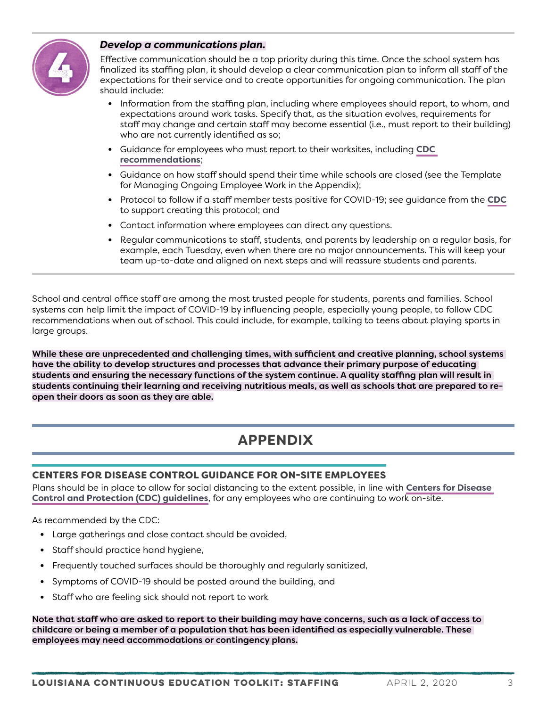

### *Develop a communications plan.*

Effective communication should be a top priority during this time. Once the school system has finalized its staffing plan, it should develop a clear communication plan to inform all staff of the expectations for their service and to create opportunities for ongoing communication. The plan should include:

- **•** Information from the staffing plan, including where employees should report, to whom, and expectations around work tasks. Specify that, as the situation evolves, requirements for staff may change and certain staff may become essential (i.e., must report to their building) who are not currently identified as so;
- **•** Guidance for employees who must report to their worksites, including **[CDC](https://www.cdc.gov/coronavirus/2019-ncov/community/guidance-business-response.html)  [recommendations](https://www.cdc.gov/coronavirus/2019-ncov/community/guidance-business-response.html)**;
- **•** Guidance on how staff should spend their time while schools are closed (see the Template for Managing Ongoing Employee Work in the Appendix);
- **•** Protocol to follow if a staff member tests positive for COVID-19; see guidance from the **CDC** to support creating this protocol; and
- **•** Contact information where employees can direct any questions.
- **•** Regular communications to staff, students, and parents by leadership on a regular basis, for example, each Tuesday, even when there are no major announcements. This will keep your team up-to-date and aligned on next steps and will reassure students and parents.

School and central office staff are among the most trusted people for students, parents and families. School systems can help limit the impact of COVID-19 by influencing people, especially young people, to follow CDC recommendations when out of school. This could include, for example, talking to teens about playing sports in large groups.

While these are unprecedented and challenging times, with sufficient and creative planning, school systems have the ability to develop structures and processes that advance their primary purpose of educating students and ensuring the necessary functions of the system continue. A quality staffing plan will result in students continuing their learning and receiving nutritious meals, as well as schools that are prepared to reopen their doors as soon as they are able.

## <span id="page-2-0"></span>**APPENDIX**

### CENTERS FOR DISEASE CONTROL GUIDANCE FOR ON-SITE EMPLOYEES

Plans should be in place to allow for social distancing to the extent possible, in line with **[Centers for Disease](https://www.cdc.gov/coronavirus/2019-ncov/community/guidance-business-response.html)  [Control and Protection \(CDC\) guidelines](https://www.cdc.gov/coronavirus/2019-ncov/community/guidance-business-response.html)**, for any employees who are continuing to work on-site.

As recommended by the CDC:

- **•** Large gatherings and close contact should be avoided,
- **•** Staff should practice hand hygiene,
- **•** Frequently touched surfaces should be thoroughly and regularly sanitized,
- **•** Symptoms of COVID-19 should be posted around the building, and
- **•** Staff who are feeling sick should not report to work

Note that staff who are asked to report to their building may have concerns, such as a lack of access to childcare or being a member of a population that has been identified as especially vulnerable. These employees may need accommodations or contingency plans.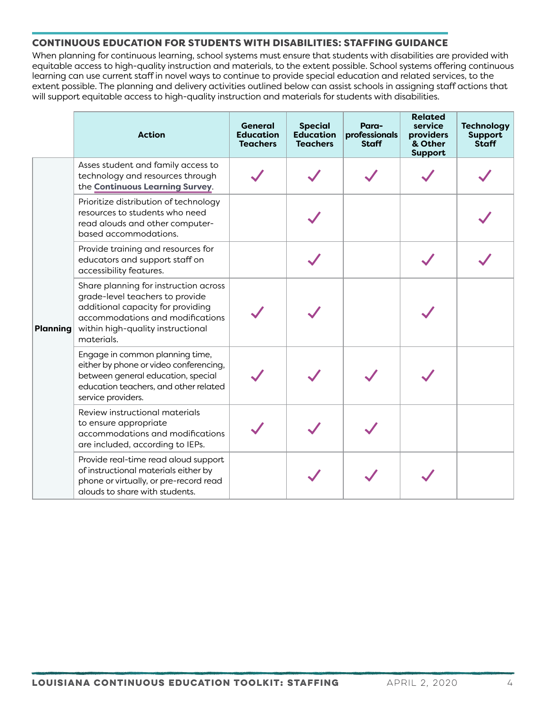## CONTINUOUS EDUCATION FOR STUDENTS WITH DISABILITIES: STAFFING GUIDANCE

When planning for continuous learning, school systems must ensure that students with disabilities are provided with equitable access to high-quality instruction and materials, to the extent possible. School systems offering continuous learning can use current staff in novel ways to continue to provide special education and related services, to the extent possible. The planning and delivery activities outlined below can assist schools in assigning staff actions that will support equitable access to high-quality instruction and materials for students with disabilities.

|                 | <b>Action</b>                                                                                                                                                                                        | <b>General</b><br><b>Education</b><br><b>Teachers</b> | <b>Special</b><br><b>Education</b><br><b>Teachers</b> | Para-<br>professionals<br><b>Staff</b> | <b>Related</b><br>service<br>providers<br>& Other<br><b>Support</b> | <b>Technology</b><br>Support<br><b>Staff</b> |
|-----------------|------------------------------------------------------------------------------------------------------------------------------------------------------------------------------------------------------|-------------------------------------------------------|-------------------------------------------------------|----------------------------------------|---------------------------------------------------------------------|----------------------------------------------|
| <b>Planning</b> | Asses student and family access to<br>technology and resources through<br>the Continuous Learning Survey.                                                                                            |                                                       |                                                       |                                        |                                                                     |                                              |
|                 | Prioritize distribution of technology<br>resources to students who need<br>read alouds and other computer-<br>based accommodations.                                                                  |                                                       |                                                       |                                        |                                                                     |                                              |
|                 | Provide training and resources for<br>educators and support staff on<br>accessibility features.                                                                                                      |                                                       |                                                       |                                        |                                                                     |                                              |
|                 | Share planning for instruction across<br>grade-level teachers to provide<br>additional capacity for providing<br>accommodations and modifications<br>within high-quality instructional<br>materials. |                                                       |                                                       |                                        |                                                                     |                                              |
|                 | Engage in common planning time,<br>either by phone or video conferencing,<br>between general education, special<br>education teachers, and other related<br>service providers.                       |                                                       |                                                       |                                        |                                                                     |                                              |
|                 | Review instructional materials<br>to ensure appropriate<br>accommodations and modifications<br>are included, according to IEPs.                                                                      |                                                       |                                                       |                                        |                                                                     |                                              |
|                 | Provide real-time read aloud support<br>of instructional materials either by<br>phone or virtually, or pre-record read<br>alouds to share with students.                                             |                                                       |                                                       |                                        |                                                                     |                                              |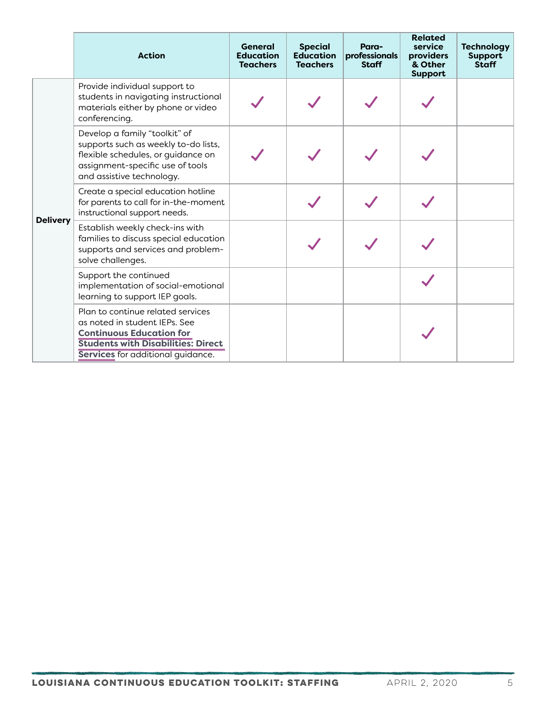|                 | <b>Action</b>                                                                                                                                                                           | <b>General</b><br><b>Education</b><br><b>Teachers</b> | <b>Special</b><br><b>Education</b><br><b>Teachers</b> | Para-<br>professionals<br><b>Staff</b> | <b>Related</b><br>service<br>providers<br>& Other<br><b>Support</b> | <b>Technology</b><br><b>Support</b><br><b>Staff</b> |
|-----------------|-----------------------------------------------------------------------------------------------------------------------------------------------------------------------------------------|-------------------------------------------------------|-------------------------------------------------------|----------------------------------------|---------------------------------------------------------------------|-----------------------------------------------------|
| <b>Delivery</b> | Provide individual support to<br>students in navigating instructional<br>materials either by phone or video<br>conferencing.                                                            |                                                       |                                                       |                                        |                                                                     |                                                     |
|                 | Develop a family "toolkit" of<br>supports such as weekly to-do lists,<br>flexible schedules, or guidance on<br>assignment-specific use of tools<br>and assistive technology.            |                                                       |                                                       |                                        |                                                                     |                                                     |
|                 | Create a special education hotline<br>for parents to call for in-the-moment<br>instructional support needs.                                                                             |                                                       |                                                       |                                        |                                                                     |                                                     |
|                 | Establish weekly check-ins with<br>families to discuss special education<br>supports and services and problem-<br>solve challenges.                                                     |                                                       |                                                       |                                        |                                                                     |                                                     |
|                 | Support the continued<br>implementation of social-emotional<br>learning to support IEP goals.                                                                                           |                                                       |                                                       |                                        |                                                                     |                                                     |
|                 | Plan to continue related services<br>as noted in student IEPs. See<br><b>Continuous Education for</b><br><b>Students with Disabilities: Direct</b><br>Services for additional quidance. |                                                       |                                                       |                                        |                                                                     |                                                     |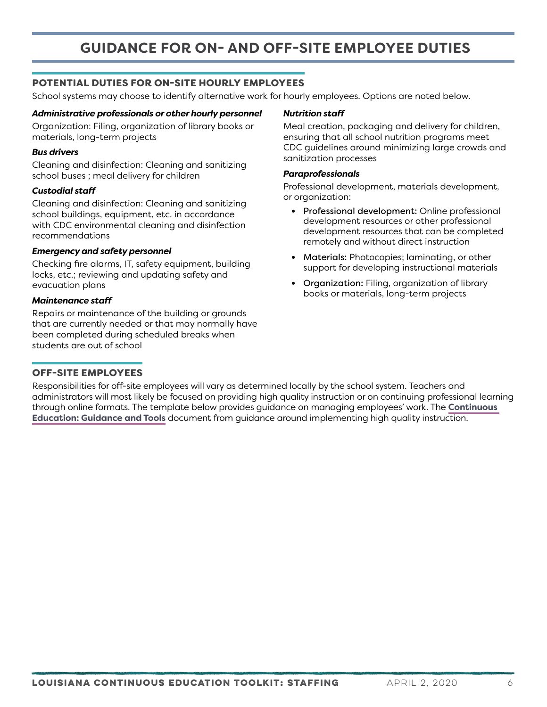### POTENTIAL DUTIES FOR ON-SITE HOURLY EMPLOYEES

School systems may choose to identify alternative work for hourly employees. Options are noted below.

#### *Administrative professionals or other hourly personnel*

Organization: Filing, organization of library books or materials, long-term projects

#### *Bus drivers*

Cleaning and disinfection: Cleaning and sanitizing school buses ; meal delivery for children

#### *Custodial staff*

Cleaning and disinfection: Cleaning and sanitizing school buildings, equipment, etc. in accordance with CDC environmental cleaning and disinfection recommendations

#### *Emergency and safety personnel*

Checking fire alarms, IT, safety equipment, building locks, etc.; reviewing and updating safety and evacuation plans

#### *Maintenance staff*

Repairs or maintenance of the building or grounds that are currently needed or that may normally have been completed during scheduled breaks when students are out of school

#### OFF-SITE EMPLOYEES

#### *Nutrition staff*

Meal creation, packaging and delivery for children, ensuring that all school nutrition programs meet CDC guidelines around minimizing large crowds and sanitization processes

#### *Paraprofessionals*

Professional development, materials development, or organization:

- **•** Professional development: Online professional development resources or other professional development resources that can be completed remotely and without direct instruction
- **•** Materials: Photocopies; laminating, or other support for developing instructional materials
- **•** Organization: Filing, organization of library books or materials, long-term projects

Responsibilities for off-site employees will vary as determined locally by the school system. Teachers and administrators will most likely be focused on providing high quality instruction or on continuing professional learning through online formats. The template below provides guidance on managing employees' work. The **[Continuous](https://www.louisianabelieves.com/docs/default-source/covid-19-resources/louisiana-continuous-education-toolkit---guidance-and-tools.pdf)  [Education: Guidance and Tools](https://www.louisianabelieves.com/docs/default-source/covid-19-resources/louisiana-continuous-education-toolkit---guidance-and-tools.pdf)** document from guidance around implementing high quality instruction.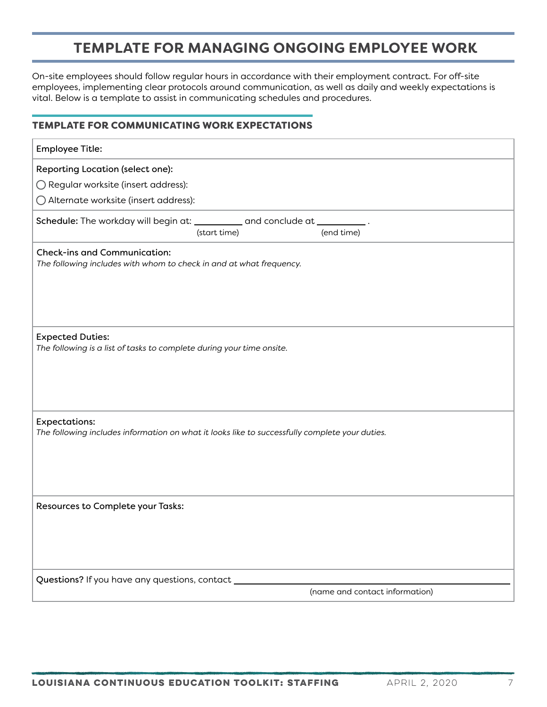## **TEMPLATE FOR MANAGING ONGOING EMPLOYEE WORK**

On-site employees should follow regular hours in accordance with their employment contract. For off-site employees, implementing clear protocols around communication, as well as daily and weekly expectations is vital. Below is a template to assist in communicating schedules and procedures.

## TEMPLATE FOR COMMUNICATING WORK EXPECTATIONS

| <b>Employee Title:</b>                                                                                                 |  |  |  |  |  |  |
|------------------------------------------------------------------------------------------------------------------------|--|--|--|--|--|--|
| Reporting Location (select one):                                                                                       |  |  |  |  |  |  |
| ◯ Regular worksite (insert address):                                                                                   |  |  |  |  |  |  |
| ○ Alternate worksite (insert address):                                                                                 |  |  |  |  |  |  |
| Schedule: The workday will begin at: __________ and conclude at __________.<br>(start time)<br>(end time)              |  |  |  |  |  |  |
| <b>Check-ins and Communication:</b><br>The following includes with whom to check in and at what frequency.             |  |  |  |  |  |  |
| <b>Expected Duties:</b><br>The following is a list of tasks to complete during your time onsite.                       |  |  |  |  |  |  |
| <b>Expectations:</b><br>The following includes information on what it looks like to successfully complete your duties. |  |  |  |  |  |  |
| Resources to Complete your Tasks:                                                                                      |  |  |  |  |  |  |
| Questions? If you have any questions, contact __<br>(name and contact information)                                     |  |  |  |  |  |  |